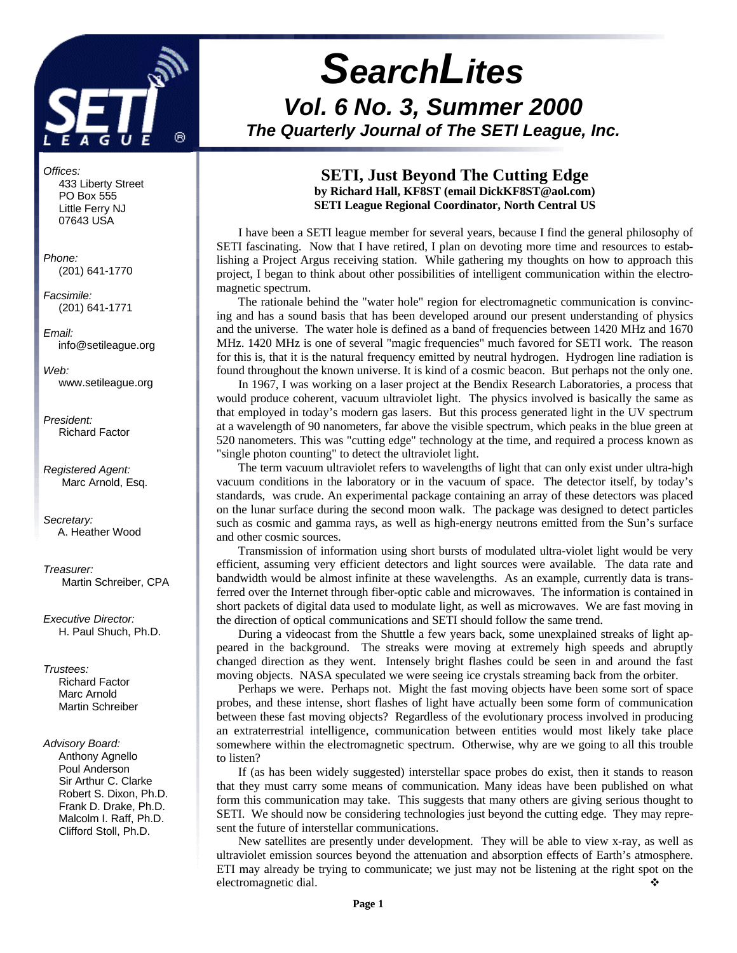

*Offices:* 433 Liberty Street PO Box 555 Little Ferry NJ 07643 USA

*Phone:* (201) 641-1770

*Facsimile:* (201) 641-1771

*Email:* info@setileague.org

*Web:* www.setileague.org

*President:* Richard Factor

*Registered Agent:* Marc Arnold, Esq.

*Secretary:* A. Heather Wood

*Treasurer:* Martin Schreiber, CPA

*Executive Director:* H. Paul Shuch, Ph.D.

*Trustees:*

**Richard Factor**  Marc Arnold Martin Schreiber

#### *Advisory Board:*

 Anthony Agnello Poul Anderson Sir Arthur C. Clarke Robert S. Dixon, Ph.D. Frank D. Drake, Ph.D. Malcolm I. Raff, Ph.D. Clifford Stoll, Ph.D.

# *SearchLites Vol. 6 No. 3, Summer 2000 The Quarterly Journal of The SETI League, Inc.*

### **SETI, Just Beyond The Cutting Edge by Richard Hall, KF8ST (email DickKF8ST@aol.com) SETI League Regional Coordinator, North Central US**

I have been a SETI league member for several years, because I find the general philosophy of SETI fascinating. Now that I have retired, I plan on devoting more time and resources to establishing a Project Argus receiving station. While gathering my thoughts on how to approach this project, I began to think about other possibilities of intelligent communication within the electromagnetic spectrum.

The rationale behind the "water hole" region for electromagnetic communication is convincing and has a sound basis that has been developed around our present understanding of physics and the universe. The water hole is defined as a band of frequencies between 1420 MHz and 1670 MHz. 1420 MHz is one of several "magic frequencies" much favored for SETI work. The reason for this is, that it is the natural frequency emitted by neutral hydrogen. Hydrogen line radiation is found throughout the known universe. It is kind of a cosmic beacon. But perhaps not the only one.

In 1967, I was working on a laser project at the Bendix Research Laboratories, a process that would produce coherent, vacuum ultraviolet light. The physics involved is basically the same as that employed in today's modern gas lasers. But this process generated light in the UV spectrum at a wavelength of 90 nanometers, far above the visible spectrum, which peaks in the blue green at 520 nanometers. This was "cutting edge" technology at the time, and required a process known as "single photon counting" to detect the ultraviolet light.

The term vacuum ultraviolet refers to wavelengths of light that can only exist under ultra-high vacuum conditions in the laboratory or in the vacuum of space. The detector itself, by today's standards, was crude. An experimental package containing an array of these detectors was placed on the lunar surface during the second moon walk. The package was designed to detect particles such as cosmic and gamma rays, as well as high-energy neutrons emitted from the Sun's surface and other cosmic sources.

Transmission of information using short bursts of modulated ultra-violet light would be very efficient, assuming very efficient detectors and light sources were available. The data rate and bandwidth would be almost infinite at these wavelengths. As an example, currently data is transferred over the Internet through fiber-optic cable and microwaves. The information is contained in short packets of digital data used to modulate light, as well as microwaves. We are fast moving in the direction of optical communications and SETI should follow the same trend.

During a videocast from the Shuttle a few years back, some unexplained streaks of light appeared in the background. The streaks were moving at extremely high speeds and abruptly changed direction as they went. Intensely bright flashes could be seen in and around the fast moving objects. NASA speculated we were seeing ice crystals streaming back from the orbiter.

Perhaps we were. Perhaps not. Might the fast moving objects have been some sort of space probes, and these intense, short flashes of light have actually been some form of communication between these fast moving objects? Regardless of the evolutionary process involved in producing an extraterrestrial intelligence, communication between entities would most likely take place somewhere within the electromagnetic spectrum. Otherwise, why are we going to all this trouble to listen?

If (as has been widely suggested) interstellar space probes do exist, then it stands to reason that they must carry some means of communication. Many ideas have been published on what form this communication may take. This suggests that many others are giving serious thought to SETI. We should now be considering technologies just beyond the cutting edge. They may represent the future of interstellar communications.

New satellites are presently under development. They will be able to view x-ray, as well as ultraviolet emission sources beyond the attenuation and absorption effects of Earth's atmosphere. ETI may already be trying to communicate; we just may not be listening at the right spot on the electromagnetic dial.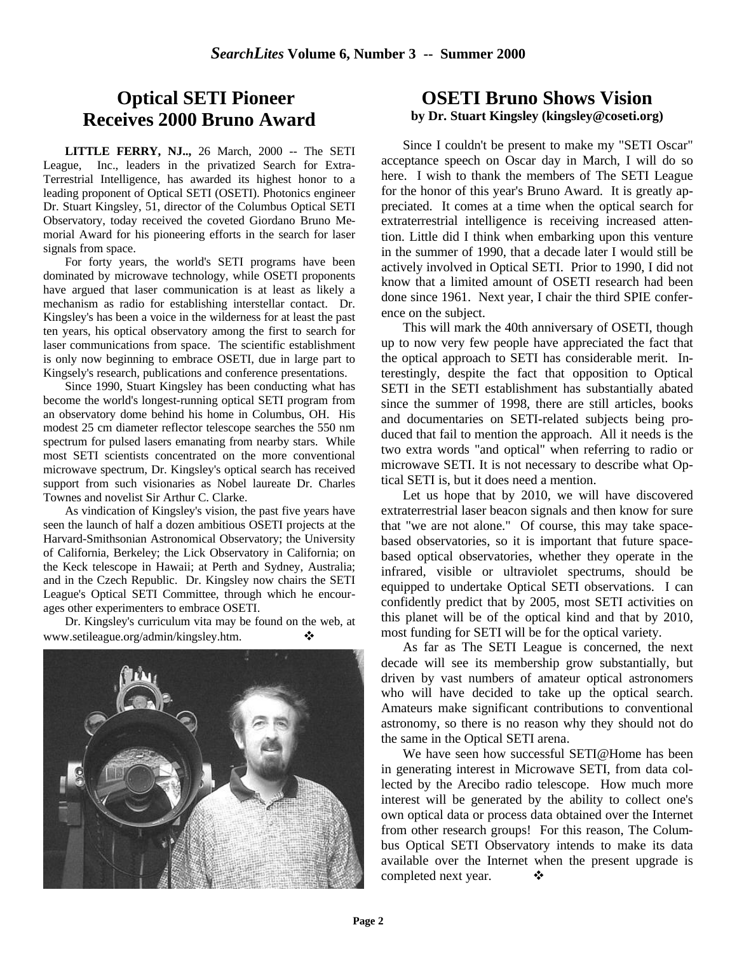# **Optical SETI Pioneer Receives 2000 Bruno Award**

**LITTLE FERRY, NJ..,** 26 March, 2000 -- The SETI League, Inc., leaders in the privatized Search for Extra-Terrestrial Intelligence, has awarded its highest honor to a leading proponent of Optical SETI (OSETI). Photonics engineer Dr. Stuart Kingsley, 51, director of the Columbus Optical SETI Observatory, today received the coveted Giordano Bruno Memorial Award for his pioneering efforts in the search for laser signals from space.

For forty years, the world's SETI programs have been dominated by microwave technology, while OSETI proponents have argued that laser communication is at least as likely a mechanism as radio for establishing interstellar contact. Dr. Kingsley's has been a voice in the wilderness for at least the past ten years, his optical observatory among the first to search for laser communications from space. The scientific establishment is only now beginning to embrace OSETI, due in large part to Kingsely's research, publications and conference presentations.

Since 1990, Stuart Kingsley has been conducting what has become the world's longest-running optical SETI program from an observatory dome behind his home in Columbus, OH. His modest 25 cm diameter reflector telescope searches the 550 nm spectrum for pulsed lasers emanating from nearby stars. While most SETI scientists concentrated on the more conventional microwave spectrum, Dr. Kingsley's optical search has received support from such visionaries as Nobel laureate Dr. Charles Townes and novelist Sir Arthur C. Clarke.

As vindication of Kingsley's vision, the past five years have seen the launch of half a dozen ambitious OSETI projects at the Harvard-Smithsonian Astronomical Observatory; the University of California, Berkeley; the Lick Observatory in California; on the Keck telescope in Hawaii; at Perth and Sydney, Australia; and in the Czech Republic. Dr. Kingsley now chairs the SETI League's Optical SETI Committee, through which he encourages other experimenters to embrace OSETI.

Dr. Kingsley's curriculum vita may be found on the web, at www.setileague.org/admin/kingsley.htm.  $\bullet\bullet$ 



## **OSETI Bruno Shows Vision by Dr. Stuart Kingsley (kingsley@coseti.org)**

Since I couldn't be present to make my "SETI Oscar" acceptance speech on Oscar day in March, I will do so here. I wish to thank the members of The SETI League for the honor of this year's Bruno Award. It is greatly appreciated. It comes at a time when the optical search for extraterrestrial intelligence is receiving increased attention. Little did I think when embarking upon this venture in the summer of 1990, that a decade later I would still be actively involved in Optical SETI. Prior to 1990, I did not know that a limited amount of OSETI research had been done since 1961. Next year, I chair the third SPIE conference on the subject.

This will mark the 40th anniversary of OSETI, though up to now very few people have appreciated the fact that the optical approach to SETI has considerable merit. Interestingly, despite the fact that opposition to Optical SETI in the SETI establishment has substantially abated since the summer of 1998, there are still articles, books and documentaries on SETI-related subjects being produced that fail to mention the approach. All it needs is the two extra words "and optical" when referring to radio or microwave SETI. It is not necessary to describe what Optical SETI is, but it does need a mention.

Let us hope that by 2010, we will have discovered extraterrestrial laser beacon signals and then know for sure that "we are not alone." Of course, this may take spacebased observatories, so it is important that future spacebased optical observatories, whether they operate in the infrared, visible or ultraviolet spectrums, should be equipped to undertake Optical SETI observations. I can confidently predict that by 2005, most SETI activities on this planet will be of the optical kind and that by 2010, most funding for SETI will be for the optical variety.

As far as The SETI League is concerned, the next decade will see its membership grow substantially, but driven by vast numbers of amateur optical astronomers who will have decided to take up the optical search. Amateurs make significant contributions to conventional astronomy, so there is no reason why they should not do the same in the Optical SETI arena.

We have seen how successful SETI@Home has been in generating interest in Microwave SETI, from data collected by the Arecibo radio telescope. How much more interest will be generated by the ability to collect one's own optical data or process data obtained over the Internet from other research groups! For this reason, The Columbus Optical SETI Observatory intends to make its data available over the Internet when the present upgrade is completed next year.  $\bullet$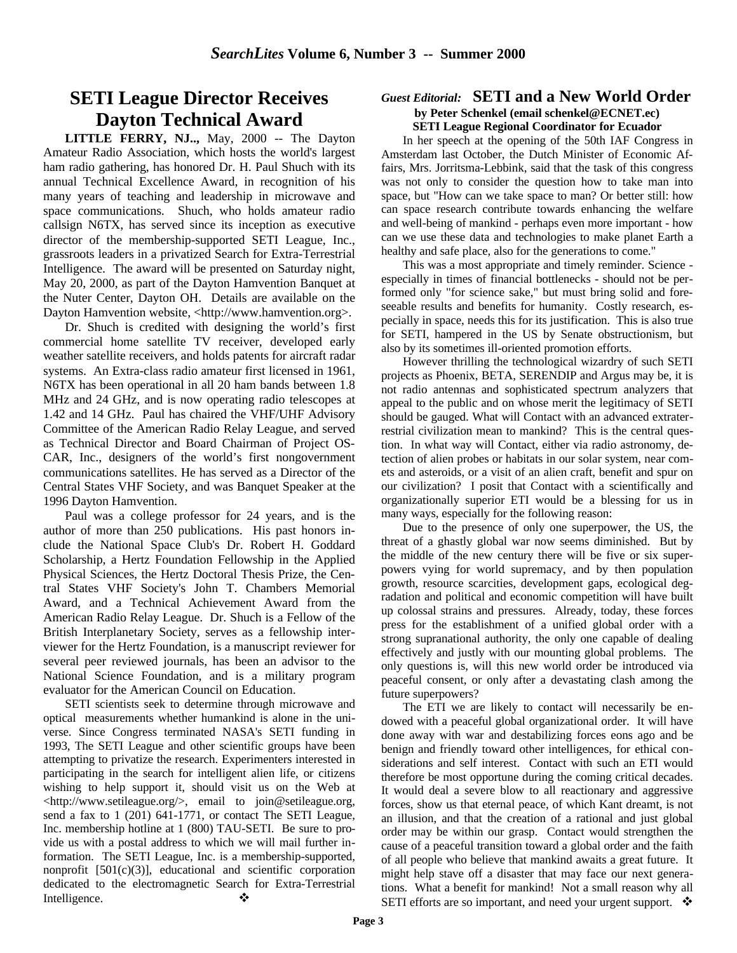# **SETI League Director Receives Dayton Technical Award**

**LITTLE FERRY, NJ..,** May, 2000 -- The Dayton Amateur Radio Association, which hosts the world's largest ham radio gathering, has honored Dr. H. Paul Shuch with its annual Technical Excellence Award, in recognition of his many years of teaching and leadership in microwave and space communications. Shuch, who holds amateur radio callsign N6TX, has served since its inception as executive director of the membership-supported SETI League, Inc., grassroots leaders in a privatized Search for Extra-Terrestrial Intelligence. The award will be presented on Saturday night, May 20, 2000, as part of the Dayton Hamvention Banquet at the Nuter Center, Dayton OH. Details are available on the Dayton Hamvention website, <http://www.hamvention.org>.

Dr. Shuch is credited with designing the world's first commercial home satellite TV receiver, developed early weather satellite receivers, and holds patents for aircraft radar systems. An Extra-class radio amateur first licensed in 1961, N6TX has been operational in all 20 ham bands between 1.8 MHz and 24 GHz, and is now operating radio telescopes at 1.42 and 14 GHz. Paul has chaired the VHF/UHF Advisory Committee of the American Radio Relay League, and served as Technical Director and Board Chairman of Project OS-CAR, Inc., designers of the world's first nongovernment communications satellites. He has served as a Director of the Central States VHF Society, and was Banquet Speaker at the 1996 Dayton Hamvention.

Paul was a college professor for 24 years, and is the author of more than 250 publications. His past honors include the National Space Club's Dr. Robert H. Goddard Scholarship, a Hertz Foundation Fellowship in the Applied Physical Sciences, the Hertz Doctoral Thesis Prize, the Central States VHF Society's John T. Chambers Memorial Award, and a Technical Achievement Award from the American Radio Relay League. Dr. Shuch is a Fellow of the British Interplanetary Society, serves as a fellowship interviewer for the Hertz Foundation, is a manuscript reviewer for several peer reviewed journals, has been an advisor to the National Science Foundation, and is a military program evaluator for the American Council on Education.

SETI scientists seek to determine through microwave and optical measurements whether humankind is alone in the universe. Since Congress terminated NASA's SETI funding in 1993, The SETI League and other scientific groups have been attempting to privatize the research. Experimenters interested in participating in the search for intelligent alien life, or citizens wishing to help support it, should visit us on the Web at <http://www.setileague.org/>, email to join@setileague.org, send a fax to 1 (201) 641-1771, or contact The SETI League, Inc. membership hotline at 1 (800) TAU-SETI. Be sure to provide us with a postal address to which we will mail further information. The SETI League, Inc. is a membership-supported, nonprofit [501(c)(3)], educational and scientific corporation dedicated to the electromagnetic Search for Extra-Terrestrial Intelligence. ❖

#### *Guest Editorial:* **SETI and a New World Order by Peter Schenkel (email schenkel@ECNET.ec) SETI League Regional Coordinator for Ecuador**

In her speech at the opening of the 50th IAF Congress in Amsterdam last October, the Dutch Minister of Economic Affairs, Mrs. Jorritsma-Lebbink, said that the task of this congress was not only to consider the question how to take man into space, but "How can we take space to man? Or better still: how can space research contribute towards enhancing the welfare and well-being of mankind - perhaps even more important - how can we use these data and technologies to make planet Earth a healthy and safe place, also for the generations to come."

This was a most appropriate and timely reminder. Science especially in times of financial bottlenecks - should not be performed only "for science sake," but must bring solid and foreseeable results and benefits for humanity. Costly research, especially in space, needs this for its justification. This is also true for SETI, hampered in the US by Senate obstructionism, but also by its sometimes ill-oriented promotion efforts.

However thrilling the technological wizardry of such SETI projects as Phoenix, BETA, SERENDIP and Argus may be, it is not radio antennas and sophisticated spectrum analyzers that appeal to the public and on whose merit the legitimacy of SETI should be gauged. What will Contact with an advanced extraterrestrial civilization mean to mankind? This is the central question. In what way will Contact, either via radio astronomy, detection of alien probes or habitats in our solar system, near comets and asteroids, or a visit of an alien craft, benefit and spur on our civilization? I posit that Contact with a scientifically and organizationally superior ETI would be a blessing for us in many ways, especially for the following reason:

Due to the presence of only one superpower, the US, the threat of a ghastly global war now seems diminished. But by the middle of the new century there will be five or six superpowers vying for world supremacy, and by then population growth, resource scarcities, development gaps, ecological degradation and political and economic competition will have built up colossal strains and pressures. Already, today, these forces press for the establishment of a unified global order with a strong supranational authority, the only one capable of dealing effectively and justly with our mounting global problems. The only questions is, will this new world order be introduced via peaceful consent, or only after a devastating clash among the future superpowers?

The ETI we are likely to contact will necessarily be endowed with a peaceful global organizational order. It will have done away with war and destabilizing forces eons ago and be benign and friendly toward other intelligences, for ethical considerations and self interest. Contact with such an ETI would therefore be most opportune during the coming critical decades. It would deal a severe blow to all reactionary and aggressive forces, show us that eternal peace, of which Kant dreamt, is not an illusion, and that the creation of a rational and just global order may be within our grasp. Contact would strengthen the cause of a peaceful transition toward a global order and the faith of all people who believe that mankind awaits a great future. It might help stave off a disaster that may face our next generations. What a benefit for mankind! Not a small reason why all SETI efforts are so important, and need your urgent support.  $\bullet$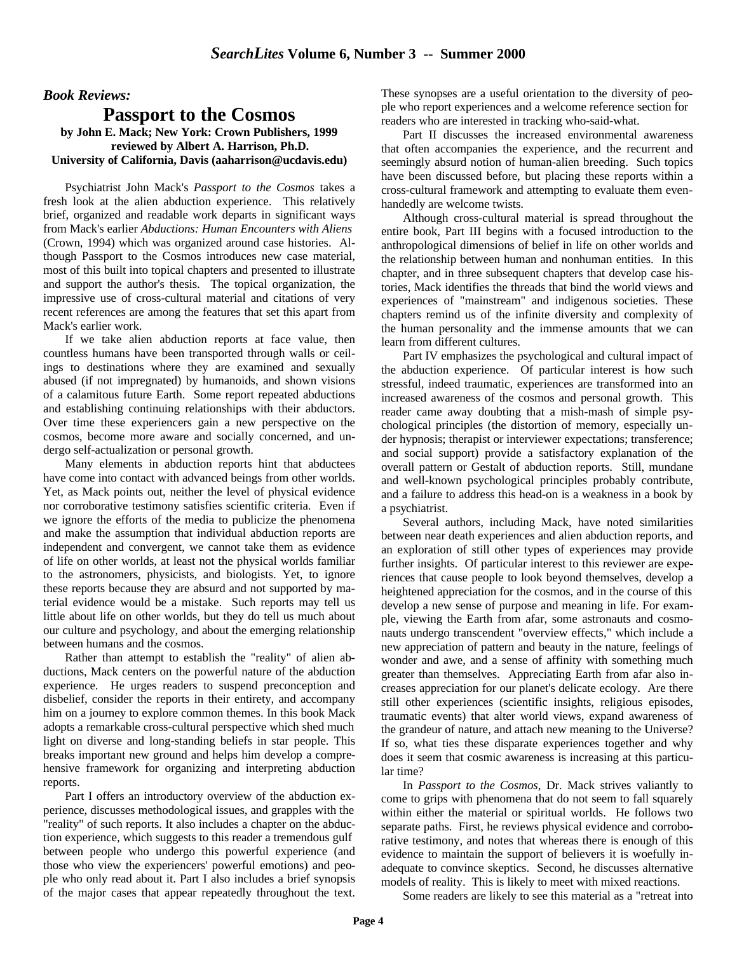#### *Book Reviews:*

### **Passport to the Cosmos by John E. Mack; New York: Crown Publishers, 1999 reviewed by Albert A. Harrison, Ph.D. University of California, Davis (aaharrison@ucdavis.edu)**

Psychiatrist John Mack's *Passport to the Cosmos* takes a fresh look at the alien abduction experience. This relatively brief, organized and readable work departs in significant ways from Mack's earlier *Abductions: Human Encounters with Aliens* (Crown, 1994) which was organized around case histories. Although Passport to the Cosmos introduces new case material, most of this built into topical chapters and presented to illustrate and support the author's thesis. The topical organization, the impressive use of cross-cultural material and citations of very recent references are among the features that set this apart from Mack's earlier work.

If we take alien abduction reports at face value, then countless humans have been transported through walls or ceilings to destinations where they are examined and sexually abused (if not impregnated) by humanoids, and shown visions of a calamitous future Earth. Some report repeated abductions and establishing continuing relationships with their abductors. Over time these experiencers gain a new perspective on the cosmos, become more aware and socially concerned, and undergo self-actualization or personal growth.

Many elements in abduction reports hint that abductees have come into contact with advanced beings from other worlds. Yet, as Mack points out, neither the level of physical evidence nor corroborative testimony satisfies scientific criteria. Even if we ignore the efforts of the media to publicize the phenomena and make the assumption that individual abduction reports are independent and convergent, we cannot take them as evidence of life on other worlds, at least not the physical worlds familiar to the astronomers, physicists, and biologists. Yet, to ignore these reports because they are absurd and not supported by material evidence would be a mistake. Such reports may tell us little about life on other worlds, but they do tell us much about our culture and psychology, and about the emerging relationship between humans and the cosmos.

Rather than attempt to establish the "reality" of alien abductions, Mack centers on the powerful nature of the abduction experience. He urges readers to suspend preconception and disbelief, consider the reports in their entirety, and accompany him on a journey to explore common themes. In this book Mack adopts a remarkable cross-cultural perspective which shed much light on diverse and long-standing beliefs in star people. This breaks important new ground and helps him develop a comprehensive framework for organizing and interpreting abduction reports.

Part I offers an introductory overview of the abduction experience, discusses methodological issues, and grapples with the "reality" of such reports. It also includes a chapter on the abduction experience, which suggests to this reader a tremendous gulf between people who undergo this powerful experience (and those who view the experiencers' powerful emotions) and people who only read about it. Part I also includes a brief synopsis of the major cases that appear repeatedly throughout the text. These synopses are a useful orientation to the diversity of people who report experiences and a welcome reference section for readers who are interested in tracking who-said-what.

Part II discusses the increased environmental awareness that often accompanies the experience, and the recurrent and seemingly absurd notion of human-alien breeding. Such topics have been discussed before, but placing these reports within a cross-cultural framework and attempting to evaluate them evenhandedly are welcome twists.

Although cross-cultural material is spread throughout the entire book, Part III begins with a focused introduction to the anthropological dimensions of belief in life on other worlds and the relationship between human and nonhuman entities. In this chapter, and in three subsequent chapters that develop case histories, Mack identifies the threads that bind the world views and experiences of "mainstream" and indigenous societies. These chapters remind us of the infinite diversity and complexity of the human personality and the immense amounts that we can learn from different cultures.

Part IV emphasizes the psychological and cultural impact of the abduction experience. Of particular interest is how such stressful, indeed traumatic, experiences are transformed into an increased awareness of the cosmos and personal growth. This reader came away doubting that a mish-mash of simple psychological principles (the distortion of memory, especially under hypnosis; therapist or interviewer expectations; transference; and social support) provide a satisfactory explanation of the overall pattern or Gestalt of abduction reports. Still, mundane and well-known psychological principles probably contribute, and a failure to address this head-on is a weakness in a book by a psychiatrist.

Several authors, including Mack, have noted similarities between near death experiences and alien abduction reports, and an exploration of still other types of experiences may provide further insights. Of particular interest to this reviewer are experiences that cause people to look beyond themselves, develop a heightened appreciation for the cosmos, and in the course of this develop a new sense of purpose and meaning in life. For example, viewing the Earth from afar, some astronauts and cosmonauts undergo transcendent "overview effects," which include a new appreciation of pattern and beauty in the nature, feelings of wonder and awe, and a sense of affinity with something much greater than themselves. Appreciating Earth from afar also increases appreciation for our planet's delicate ecology. Are there still other experiences (scientific insights, religious episodes, traumatic events) that alter world views, expand awareness of the grandeur of nature, and attach new meaning to the Universe? If so, what ties these disparate experiences together and why does it seem that cosmic awareness is increasing at this particular time?

In *Passport to the Cosmos*, Dr. Mack strives valiantly to come to grips with phenomena that do not seem to fall squarely within either the material or spiritual worlds. He follows two separate paths. First, he reviews physical evidence and corroborative testimony, and notes that whereas there is enough of this evidence to maintain the support of believers it is woefully inadequate to convince skeptics. Second, he discusses alternative models of reality. This is likely to meet with mixed reactions.

Some readers are likely to see this material as a "retreat into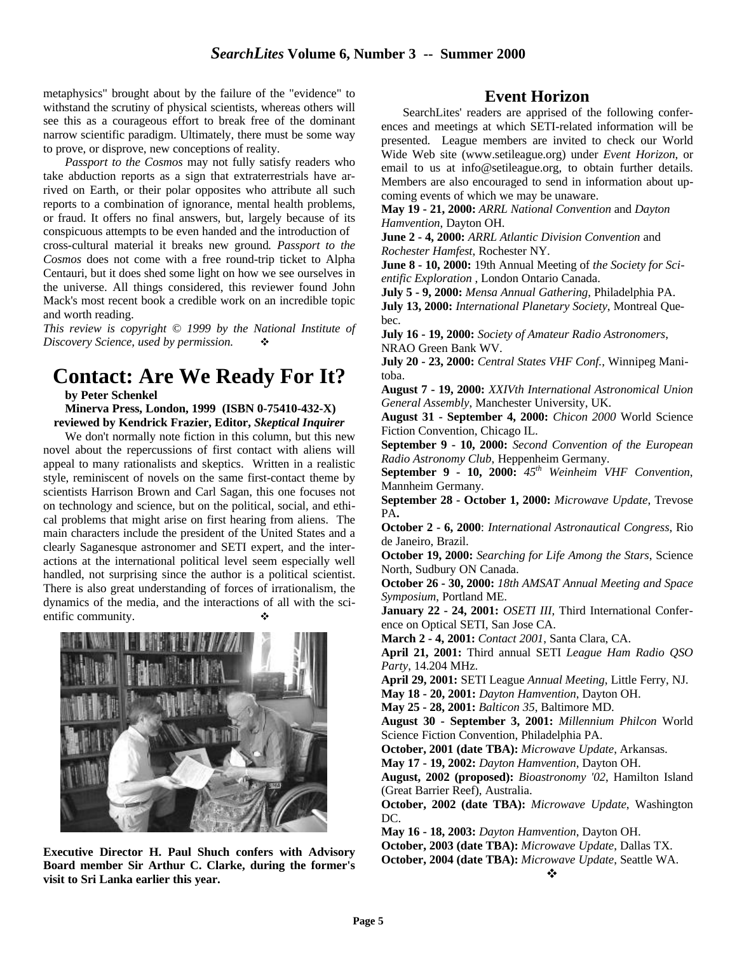metaphysics" brought about by the failure of the "evidence" to withstand the scrutiny of physical scientists, whereas others will see this as a courageous effort to break free of the dominant narrow scientific paradigm. Ultimately, there must be some way to prove, or disprove, new conceptions of reality.

*Passport to the Cosmos* may not fully satisfy readers who take abduction reports as a sign that extraterrestrials have arrived on Earth, or their polar opposites who attribute all such reports to a combination of ignorance, mental health problems, or fraud. It offers no final answers, but, largely because of its conspicuous attempts to be even handed and the introduction of cross-cultural material it breaks new ground*. Passport to the Cosmos* does not come with a free round-trip ticket to Alpha Centauri, but it does shed some light on how we see ourselves in the universe. All things considered, this reviewer found John Mack's most recent book a credible work on an incredible topic and worth reading.

*This review is copyright © 1999 by the National Institute of Discovery Science, used by permission.* 

# **Contact: Are We Ready For It?**

**by Peter Schenkel**

 **Minerva Press, London, 1999 (ISBN 0-75410-432-X) reviewed by Kendrick Frazier, Editor,** *Skeptical Inquirer*

We don't normally note fiction in this column, but this new novel about the repercussions of first contact with aliens will appeal to many rationalists and skeptics. Written in a realistic style, reminiscent of novels on the same first-contact theme by scientists Harrison Brown and Carl Sagan, this one focuses not on technology and science, but on the political, social, and ethical problems that might arise on first hearing from aliens. The main characters include the president of the United States and a clearly Saganesque astronomer and SETI expert, and the interactions at the international political level seem especially well handled, not surprising since the author is a political scientist. There is also great understanding of forces of irrationalism, the dynamics of the media, and the interactions of all with the scientific community.



**Executive Director H. Paul Shuch confers with Advisory Board member Sir Arthur C. Clarke, during the former's visit to Sri Lanka earlier this year.**

# **Event Horizon**

SearchLites' readers are apprised of the following conferences and meetings at which SETI-related information will be presented. League members are invited to check our World Wide Web site (www.setileague.org) under *Event Horizon*, or email to us at info@setileague.org, to obtain further details. Members are also encouraged to send in information about upcoming events of which we may be unaware.

**May 19 - 21, 2000:** *ARRL National Convention* and *Dayton Hamvention*, Dayton OH.

**June 2 - 4, 2000:** *ARRL Atlantic Division Convention* and *Rochester Hamfest*, Rochester NY.

**June 8 - 10, 2000:** 19th Annual Meeting of *the Society for Scientific Exploration* , London Ontario Canada.

**July 5 - 9, 2000:** *Mensa Annual Gathering*, Philadelphia PA. **July 13, 2000:** *International Planetary Society*, Montreal Quebec.

**July 16 - 19, 2000:** *Society of Amateur Radio Astronomers*, NRAO Green Bank WV.

**July 20 - 23, 2000:** *Central States VHF Conf.*, Winnipeg Manitoba.

**August 7 - 19, 2000:** *XXIVth International Astronomical Union General Assembly*, Manchester University, UK.

**August 31 - September 4, 2000:** *Chicon 2000* World Science Fiction Convention, Chicago IL.

**September 9 - 10, 2000:** *Second Convention of the European Radio Astronomy Club*, Heppenheim Germany.

**September 9 - 10, 2000:** *45th Weinheim VHF Convention*, Mannheim Germany.

**September 28 - October 1, 2000:** *Microwave Update*, Trevose PA**.**

**October 2 - 6, 2000**: *International Astronautical Congress*, Rio de Janeiro, Brazil.

**October 19, 2000:** *Searching for Life Among the Stars*, Science North, Sudbury ON Canada.

**October 26 - 30, 2000:** *18th AMSAT Annual Meeting and Space Symposium*, Portland ME.

**January 22 - 24, 2001:** *OSETI III*, Third International Conference on Optical SETI, San Jose CA.

**March 2 - 4, 2001:** *Contact 2001*, Santa Clara, CA.

**April 21, 2001:** Third annual SETI *League Ham Radio QSO Party*, 14.204 MHz.

**April 29, 2001:** SETI League *Annual Meeting*, Little Ferry, NJ.

**May 18 - 20, 2001:** *Dayton Hamvention*, Dayton OH.

**May 25 - 28, 2001:** *Balticon 35*, Baltimore MD.

**August 30 - September 3, 2001:** *Millennium Philcon* World Science Fiction Convention, Philadelphia PA.

**October, 2001 (date TBA):** *Microwave Update*, Arkansas.

**May 17 - 19, 2002:** *Dayton Hamvention*, Dayton OH.

**August, 2002 (proposed):** *Bioastronomy '02*, Hamilton Island (Great Barrier Reef), Australia.

**October, 2002 (date TBA):** *Microwave Update*, Washington DC.

**May 16 - 18, 2003:** *Dayton Hamvention*, Dayton OH.

**October, 2003 (date TBA):** *Microwave Update*, Dallas TX.

**October, 2004 (date TBA):** *Microwave Update*, Seattle WA.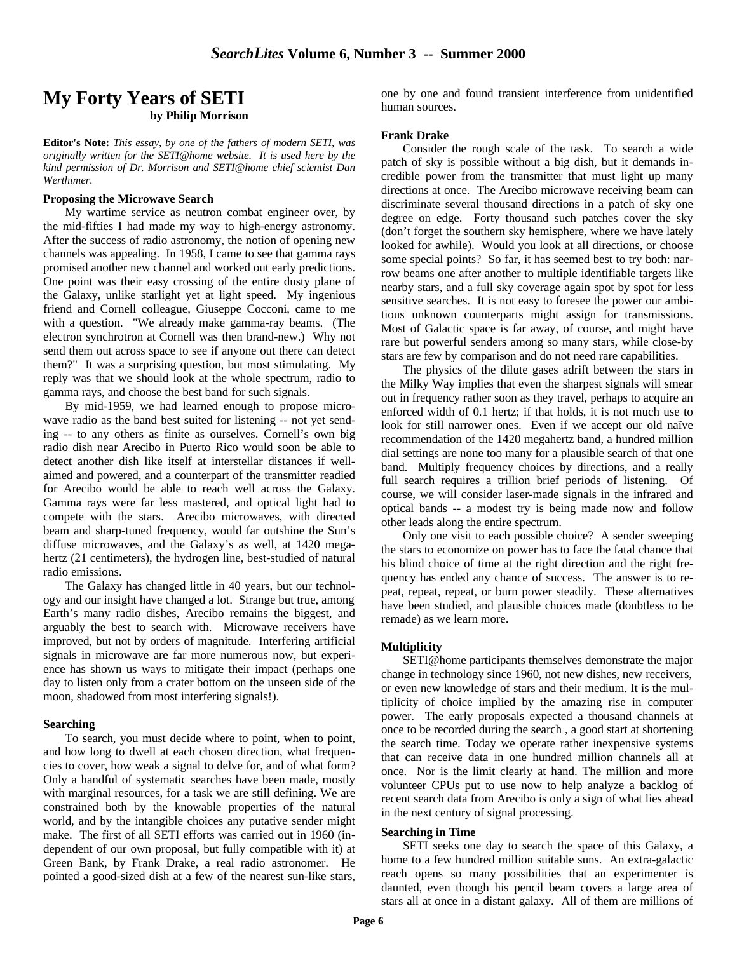### **My Forty Years of SETI by Philip Morrison**

**Editor's Note:** *This essay, by one of the fathers of modern SETI, was originally written for the SETI@home website. It is used here by the kind permission of Dr. Morrison and SETI@home chief scientist Dan Werthimer.*

#### **Proposing the Microwave Search**

My wartime service as neutron combat engineer over, by the mid-fifties I had made my way to high-energy astronomy. After the success of radio astronomy, the notion of opening new channels was appealing. In 1958, I came to see that gamma rays promised another new channel and worked out early predictions. One point was their easy crossing of the entire dusty plane of the Galaxy, unlike starlight yet at light speed. My ingenious friend and Cornell colleague, Giuseppe Cocconi, came to me with a question. "We already make gamma-ray beams. (The electron synchrotron at Cornell was then brand-new.) Why not send them out across space to see if anyone out there can detect them?" It was a surprising question, but most stimulating. My reply was that we should look at the whole spectrum, radio to gamma rays, and choose the best band for such signals.

By mid-1959, we had learned enough to propose microwave radio as the band best suited for listening -- not yet sending -- to any others as finite as ourselves. Cornell's own big radio dish near Arecibo in Puerto Rico would soon be able to detect another dish like itself at interstellar distances if wellaimed and powered, and a counterpart of the transmitter readied for Arecibo would be able to reach well across the Galaxy. Gamma rays were far less mastered, and optical light had to compete with the stars. Arecibo microwaves, with directed beam and sharp-tuned frequency, would far outshine the Sun's diffuse microwaves, and the Galaxy's as well, at 1420 megahertz (21 centimeters), the hydrogen line, best-studied of natural radio emissions.

The Galaxy has changed little in 40 years, but our technology and our insight have changed a lot. Strange but true, among Earth's many radio dishes, Arecibo remains the biggest, and arguably the best to search with. Microwave receivers have improved, but not by orders of magnitude. Interfering artificial signals in microwave are far more numerous now, but experience has shown us ways to mitigate their impact (perhaps one day to listen only from a crater bottom on the unseen side of the moon, shadowed from most interfering signals!).

#### **Searching**

To search, you must decide where to point, when to point, and how long to dwell at each chosen direction, what frequencies to cover, how weak a signal to delve for, and of what form? Only a handful of systematic searches have been made, mostly with marginal resources, for a task we are still defining. We are constrained both by the knowable properties of the natural world, and by the intangible choices any putative sender might make. The first of all SETI efforts was carried out in 1960 (independent of our own proposal, but fully compatible with it) at Green Bank, by Frank Drake, a real radio astronomer. He pointed a good-sized dish at a few of the nearest sun-like stars,

one by one and found transient interference from unidentified human sources.

#### **Frank Drake**

Consider the rough scale of the task. To search a wide patch of sky is possible without a big dish, but it demands incredible power from the transmitter that must light up many directions at once. The Arecibo microwave receiving beam can discriminate several thousand directions in a patch of sky one degree on edge. Forty thousand such patches cover the sky (don't forget the southern sky hemisphere, where we have lately looked for awhile). Would you look at all directions, or choose some special points? So far, it has seemed best to try both: narrow beams one after another to multiple identifiable targets like nearby stars, and a full sky coverage again spot by spot for less sensitive searches. It is not easy to foresee the power our ambitious unknown counterparts might assign for transmissions. Most of Galactic space is far away, of course, and might have rare but powerful senders among so many stars, while close-by stars are few by comparison and do not need rare capabilities.

The physics of the dilute gases adrift between the stars in the Milky Way implies that even the sharpest signals will smear out in frequency rather soon as they travel, perhaps to acquire an enforced width of 0.1 hertz; if that holds, it is not much use to look for still narrower ones. Even if we accept our old naïve recommendation of the 1420 megahertz band, a hundred million dial settings are none too many for a plausible search of that one band. Multiply frequency choices by directions, and a really full search requires a trillion brief periods of listening. Of course, we will consider laser-made signals in the infrared and optical bands -- a modest try is being made now and follow other leads along the entire spectrum.

Only one visit to each possible choice? A sender sweeping the stars to economize on power has to face the fatal chance that his blind choice of time at the right direction and the right frequency has ended any chance of success. The answer is to repeat, repeat, repeat, or burn power steadily. These alternatives have been studied, and plausible choices made (doubtless to be remade) as we learn more.

#### **Multiplicity**

SETI@home participants themselves demonstrate the major change in technology since 1960, not new dishes, new receivers, or even new knowledge of stars and their medium. It is the multiplicity of choice implied by the amazing rise in computer power. The early proposals expected a thousand channels at once to be recorded during the search , a good start at shortening the search time. Today we operate rather inexpensive systems that can receive data in one hundred million channels all at once. Nor is the limit clearly at hand. The million and more volunteer CPUs put to use now to help analyze a backlog of recent search data from Arecibo is only a sign of what lies ahead in the next century of signal processing.

#### **Searching in Time**

SETI seeks one day to search the space of this Galaxy, a home to a few hundred million suitable suns. An extra-galactic reach opens so many possibilities that an experimenter is daunted, even though his pencil beam covers a large area of stars all at once in a distant galaxy. All of them are millions of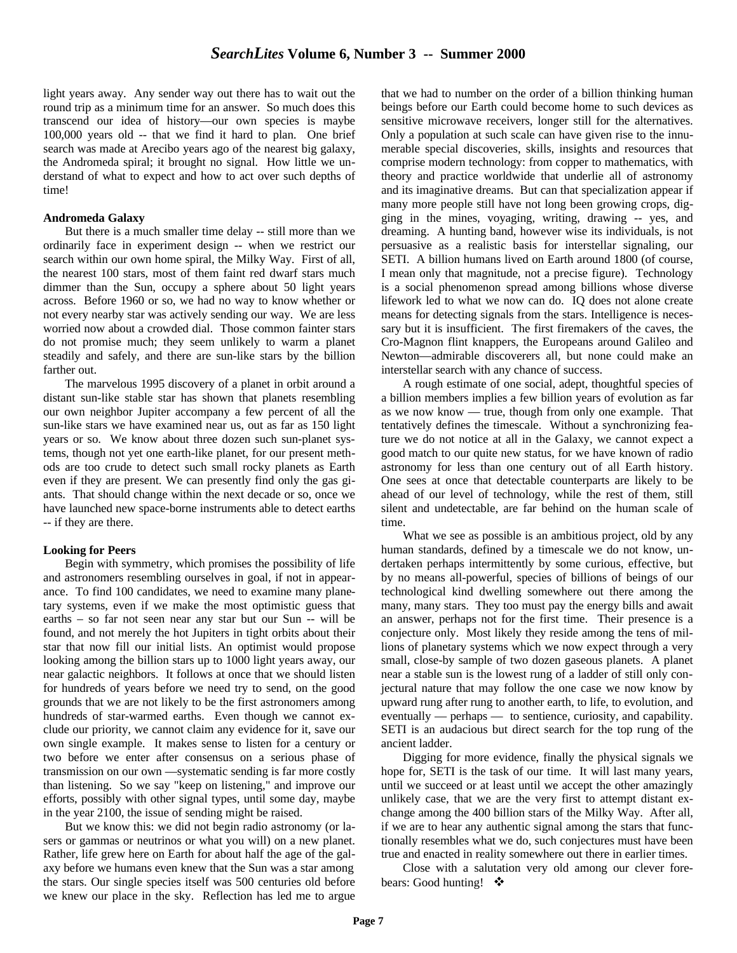light years away. Any sender way out there has to wait out the round trip as a minimum time for an answer. So much does this transcend our idea of history—our own species is maybe 100,000 years old -- that we find it hard to plan. One brief search was made at Arecibo years ago of the nearest big galaxy, the Andromeda spiral; it brought no signal. How little we understand of what to expect and how to act over such depths of time!

#### **Andromeda Galaxy**

But there is a much smaller time delay -- still more than we ordinarily face in experiment design -- when we restrict our search within our own home spiral, the Milky Way. First of all, the nearest 100 stars, most of them faint red dwarf stars much dimmer than the Sun, occupy a sphere about 50 light years across. Before 1960 or so, we had no way to know whether or not every nearby star was actively sending our way. We are less worried now about a crowded dial. Those common fainter stars do not promise much; they seem unlikely to warm a planet steadily and safely, and there are sun-like stars by the billion farther out.

The marvelous 1995 discovery of a planet in orbit around a distant sun-like stable star has shown that planets resembling our own neighbor Jupiter accompany a few percent of all the sun-like stars we have examined near us, out as far as 150 light years or so. We know about three dozen such sun-planet systems, though not yet one earth-like planet, for our present methods are too crude to detect such small rocky planets as Earth even if they are present. We can presently find only the gas giants. That should change within the next decade or so, once we have launched new space-borne instruments able to detect earths -- if they are there.

#### **Looking for Peers**

Begin with symmetry, which promises the possibility of life and astronomers resembling ourselves in goal, if not in appearance. To find 100 candidates, we need to examine many planetary systems, even if we make the most optimistic guess that earths – so far not seen near any star but our Sun -- will be found, and not merely the hot Jupiters in tight orbits about their star that now fill our initial lists. An optimist would propose looking among the billion stars up to 1000 light years away, our near galactic neighbors. It follows at once that we should listen for hundreds of years before we need try to send, on the good grounds that we are not likely to be the first astronomers among hundreds of star-warmed earths. Even though we cannot exclude our priority, we cannot claim any evidence for it, save our own single example. It makes sense to listen for a century or two before we enter after consensus on a serious phase of transmission on our own —systematic sending is far more costly than listening. So we say "keep on listening," and improve our efforts, possibly with other signal types, until some day, maybe in the year 2100, the issue of sending might be raised.

But we know this: we did not begin radio astronomy (or lasers or gammas or neutrinos or what you will) on a new planet. Rather, life grew here on Earth for about half the age of the galaxy before we humans even knew that the Sun was a star among the stars. Our single species itself was 500 centuries old before we knew our place in the sky. Reflection has led me to argue that we had to number on the order of a billion thinking human beings before our Earth could become home to such devices as sensitive microwave receivers, longer still for the alternatives. Only a population at such scale can have given rise to the innumerable special discoveries, skills, insights and resources that comprise modern technology: from copper to mathematics, with theory and practice worldwide that underlie all of astronomy and its imaginative dreams. But can that specialization appear if many more people still have not long been growing crops, digging in the mines, voyaging, writing, drawing -- yes, and dreaming. A hunting band, however wise its individuals, is not persuasive as a realistic basis for interstellar signaling, our SETI. A billion humans lived on Earth around 1800 (of course, I mean only that magnitude, not a precise figure). Technology is a social phenomenon spread among billions whose diverse lifework led to what we now can do. IQ does not alone create means for detecting signals from the stars. Intelligence is necessary but it is insufficient. The first firemakers of the caves, the Cro-Magnon flint knappers, the Europeans around Galileo and Newton—admirable discoverers all, but none could make an interstellar search with any chance of success.

A rough estimate of one social, adept, thoughtful species of a billion members implies a few billion years of evolution as far as we now know — true, though from only one example. That tentatively defines the timescale. Without a synchronizing feature we do not notice at all in the Galaxy, we cannot expect a good match to our quite new status, for we have known of radio astronomy for less than one century out of all Earth history. One sees at once that detectable counterparts are likely to be ahead of our level of technology, while the rest of them, still silent and undetectable, are far behind on the human scale of time.

What we see as possible is an ambitious project, old by any human standards, defined by a timescale we do not know, undertaken perhaps intermittently by some curious, effective, but by no means all-powerful, species of billions of beings of our technological kind dwelling somewhere out there among the many, many stars. They too must pay the energy bills and await an answer, perhaps not for the first time. Their presence is a conjecture only. Most likely they reside among the tens of millions of planetary systems which we now expect through a very small, close-by sample of two dozen gaseous planets. A planet near a stable sun is the lowest rung of a ladder of still only conjectural nature that may follow the one case we now know by upward rung after rung to another earth, to life, to evolution, and eventually — perhaps — to sentience, curiosity, and capability. SETI is an audacious but direct search for the top rung of the ancient ladder.

Digging for more evidence, finally the physical signals we hope for, SETI is the task of our time. It will last many years, until we succeed or at least until we accept the other amazingly unlikely case, that we are the very first to attempt distant exchange among the 400 billion stars of the Milky Way. After all, if we are to hear any authentic signal among the stars that functionally resembles what we do, such conjectures must have been true and enacted in reality somewhere out there in earlier times.

Close with a salutation very old among our clever forebears: Good hunting!  $\cdot$